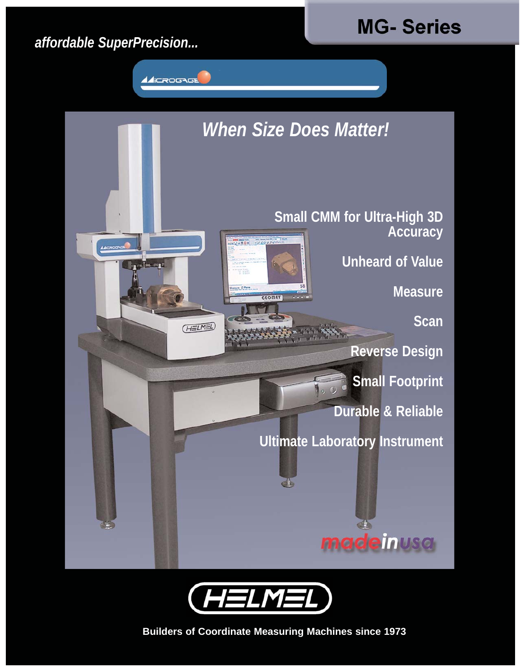## *affordable SuperPrecision...*









**Builders of Coordinate Measuring Machines since 1973**